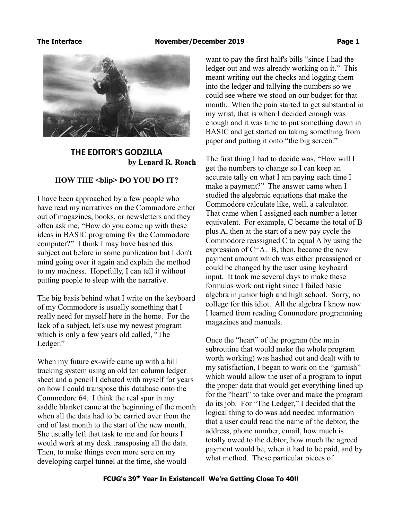

# **THE EDITOR'S GODZILLA by Lenard R. Roach**

## **HOW THE <blip> DO YOU DO IT?**

I have been approached by a few people who have read my narratives on the Commodore either out of magazines, books, or newsletters and they often ask me, "How do you come up with these ideas in BASIC programing for the Commodore computer?" I think I may have hashed this subject out before in some publication but I don't mind going over it again and explain the method to my madness. Hopefully, I can tell it without putting people to sleep with the narrative.

The big basis behind what I write on the keyboard of my Commodore is usually something that I really need for myself here in the home. For the lack of a subject, let's use my newest program which is only a few years old called, "The Ledger."

When my future ex-wife came up with a bill tracking system using an old ten column ledger sheet and a pencil I debated with myself for years on how I could transpose this database onto the Commodore 64. I think the real spur in my saddle blanket came at the beginning of the month when all the data had to be carried over from the end of last month to the start of the new month. She usually left that task to me and for hours I would work at my desk transposing all the data. Then, to make things even more sore on my developing carpel tunnel at the time, she would

want to pay the first half's bills "since I had the ledger out and was already working on it." This meant writing out the checks and logging them into the ledger and tallying the numbers so we could see where we stood on our budget for that month. When the pain started to get substantial in my wrist, that is when I decided enough was enough and it was time to put something down in BASIC and get started on taking something from paper and putting it onto "the big screen."

The first thing I had to decide was, "How will I get the numbers to change so I can keep an accurate tally on what I am paying each time I make a payment?" The answer came when I studied the algebraic equations that make the Commodore calculate like, well, a calculator. That came when I assigned each number a letter equivalent. For example, C became the total of B plus A, then at the start of a new pay cycle the Commodore reassigned C to equal A by using the expression of C=A. B, then, became the new payment amount which was either preassigned or could be changed by the user using keyboard input. It took me several days to make these formulas work out right since I failed basic algebra in junior high and high school. Sorry, no college for this idiot. All the algebra I know now I learned from reading Commodore programming magazines and manuals.

Once the "heart" of the program (the main subroutine that would make the whole program worth working) was hashed out and dealt with to my satisfaction, I began to work on the "garnish" which would allow the user of a program to input the proper data that would get everything lined up for the "heart" to take over and make the program do its job. For "The Ledger," I decided that the logical thing to do was add needed information that a user could read the name of the debtor, the address, phone number, email, how much is totally owed to the debtor, how much the agreed payment would be, when it had to be paid, and by what method. These particular pieces of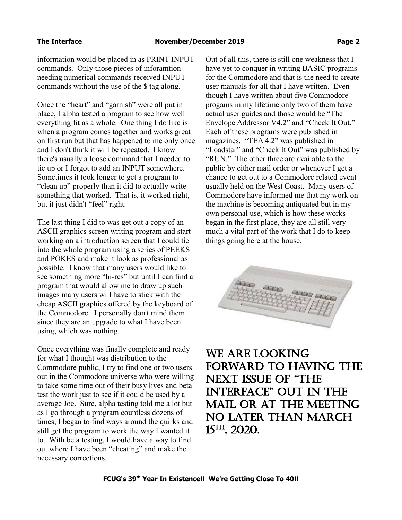information would be placed in as PRINT INPUT commands. Only those pieces of inforamtion needing numerical commands received INPUT commands without the use of the \$ tag along.

Once the "heart" and "garnish" were all put in place, I alpha tested a program to see how well everything fit as a whole. One thing I do like is when a program comes together and works great on first run but that has happened to me only once and I don't think it will be repeated. I know there's usually a loose command that I needed to tie up or I forgot to add an INPUT somewhere. Sometimes it took longer to get a program to "clean up" properly than it did to actually write something that worked. That is, it worked right, but it just didn't "feel" right.

The last thing I did to was get out a copy of an ASCII graphics screen writing program and start working on a introduction screen that I could tie into the whole program using a series of PEEKS and POKES and make it look as professional as possible. I know that many users would like to see something more "hi-res" but until I can find a program that would allow me to draw up such images many users will have to stick with the cheap ASCII graphics offered by the keyboard of the Commodore. I personally don't mind them since they are an upgrade to what I have been using, which was nothing.

Once everything was finally complete and ready for what I thought was distribution to the Commodore public, I try to find one or two users out in the Commodore universe who were willing to take some time out of their busy lives and beta test the work just to see if it could be used by a average Joe. Sure, alpha testing told me a lot but as I go through a program countless dozens of times, I began to find ways around the quirks and still get the program to work the way I wanted it to. With beta testing, I would have a way to find out where I have been "cheating" and make the necessary corrections.

Out of all this, there is still one weakness that I have yet to conquer in writing BASIC programs for the Commodore and that is the need to create user manuals for all that I have written. Even though I have written about five Commodore progams in my lifetime only two of them have actual user guides and those would be "The Envelope Addressor V4.2" and "Check It Out." Each of these programs were published in magazines. "TEA 4.2" was published in "Loadstar" and "Check It Out" was published by "RUN." The other three are available to the public by either mail order or whenever I get a chance to get out to a Commodore related event usually held on the West Coast. Many users of Commodore have informed me that my work on the machine is becoming antiquated but in my own personal use, which is how these works began in the first place, they are all still very much a vital part of the work that I do to keep things going here at the house.



We are looking forward to having the next issue of "The Interface" out in the mail or at the meeting no later than March 15<sup>TH</sup>, 2020.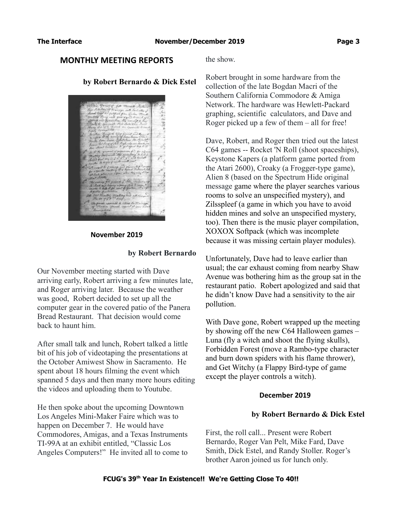# **MONTHLY MEETING REPORTS**

**by Robert Bernardo & Dick Estel**

# **November 2019**

### **by Robert Bernardo**

Our November meeting started with Dave arriving early, Robert arriving a few minutes late, and Roger arriving later. Because the weather was good, Robert decided to set up all the computer gear in the covered patio of the Panera Bread Restaurant. That decision would come back to haunt him.

After small talk and lunch, Robert talked a little bit of his job of videotaping the presentations at the October Amiwest Show in Sacramento. He spent about 18 hours filming the event which spanned 5 days and then many more hours editing the videos and uploading them to Youtube.

He then spoke about the upcoming Downtown Los Angeles Mini-Maker Faire which was to happen on December 7. He would have Commodores, Amigas, and a Texas Instruments TI-99A at an exhibit entitled, "Classic Los Angeles Computers!" He invited all to come to the show.

Robert brought in some hardware from the collection of the late Bogdan Macri of the Southern California Commodore & Amiga Network. The hardware was Hewlett-Packard graphing, scientific calculators, and Dave and Roger picked up a few of them – all for free!

Dave, Robert, and Roger then tried out the latest C64 games -- Rocket 'N Roll (shoot spaceships), Keystone Kapers (a platform game ported from the Atari 2600), Croaky (a Frogger-type game), Alien 8 (based on the Spectrum Hide original message game where the player searches various rooms to solve an unspecified mystery), and Zilsspleef (a game in which you have to avoid hidden mines and solve an unspecified mystery, too). Then there is the music player compilation, XOXOX Softpack (which was incomplete because it was missing certain player modules).

Unfortunately, Dave had to leave earlier than usual; the car exhaust coming from nearby Shaw Avenue was bothering him as the group sat in the restaurant patio. Robert apologized and said that he didn't know Dave had a sensitivity to the air pollution.

With Dave gone, Robert wrapped up the meeting by showing off the new C64 Halloween games – Luna (fly a witch and shoot the flying skulls), Forbidden Forest (move a Rambo-type character and burn down spiders with his flame thrower), and Get Witchy (a Flappy Bird-type of game except the player controls a witch).

### **December 2019**

### **by Robert Bernardo & Dick Estel**

First, the roll call... Present were Robert Bernardo, Roger Van Pelt, Mike Fard, Dave Smith, Dick Estel, and Randy Stoller. Roger's brother Aaron joined us for lunch only.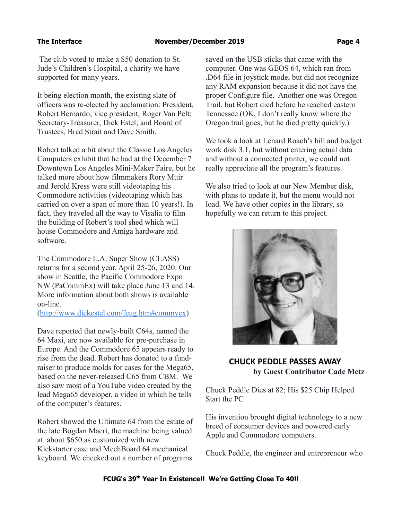### **The Interface The Interface According to According Page 4 Page 4 Page 4**

The club voted to make a \$50 donation to St. Jude's Children's Hospital, a charity we have supported for many years.

It being election month, the existing slate of officers was re-elected by acclamation: President, Robert Bernardo; vice president, Roger Van Pelt; Secretary-Treasurer, Dick Estel; and Board of Trustees, Brad Strait and Dave Smith.

Robert talked a bit about the Classic Los Angeles Computers exhibit that he had at the December 7 Downtown Los Angeles Mini-Maker Faire, but he talked more about how filmmakers Rory Muir and Jerold Kress were still videotaping his Commodore activities (videotaping which has carried on over a span of more than 10 years!). In fact, they traveled all the way to Visalia to film the building of Robert's tool shed which will house Commodore and Amiga hardware and software.

The Commodore L.A. Super Show (CLASS) returns for a second year, April 25-26, 2020. Our show in Seattle, the Pacific Commodore Expo NW (PaCommEx) will take place June 13 and 14. More information about both shows is available on-line.

[\(http://www.dickestel.com/fcug.htm#commvex\)](http://www.dickestel.com/fcug.htm#commvex)

Dave reported that newly-built C64s, named the 64 Maxi, are now available for pre-purchase in Europe. And the Commodore 65 appears ready to rise from the dead. Robert has donated to a fundraiser to produce molds for cases for the Mega65, based on the never-released C65 from CBM. We also saw most of a YouTube video created by the lead Mega65 developer, a video in which he tells of the computer's features.

Robert showed the Ultimate 64 from the estate of the late Bogdan Macri, the machine being valued at about \$650 as customized with new Kickstarter case and MechBoard 64 mechanical keyboard. We checked out a number of programs

saved on the USB sticks that came with the computer. One was GEOS 64, which ran from .D64 file in joystick mode, but did not recognize any RAM expansion because it did not have the proper Configure file. Another one was Oregon Trail, but Robert died before he reached eastern Tennessee (OK, I don't really know where the Oregon trail goes, but he died pretty quickly.)

We took a look at Lenard Roach's bill and budget work disk 3.1, but without entering actual data and without a connected printer, we could not really appreciate all the program's features.

We also tried to look at our New Member disk, with plans to update it, but the menu would not load. We have other copies in the library, so hopefully we can return to this project.



**CHUCK PEDDLE PASSES AWAY by Guest Contributor Cade Metz**

Chuck Peddle Dies at 82; His \$25 Chip Helped Start the PC

His invention brought digital technology to a new breed of consumer devices and powered early Apple and Commodore computers.

Chuck Peddle, the engineer and entrepreneur who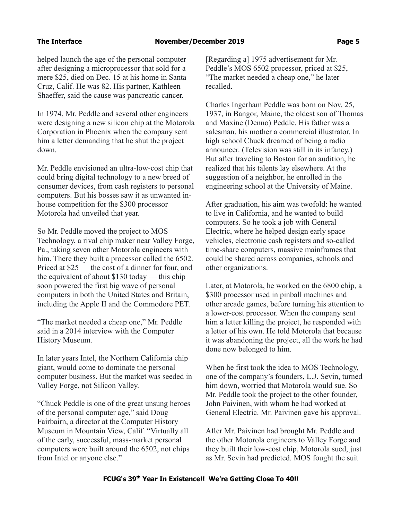helped launch the age of the personal computer after designing a microprocessor that sold for a mere \$25, died on Dec. 15 at his home in Santa Cruz, Calif. He was 82. His partner, Kathleen Shaeffer, said the cause was pancreatic cancer.

In 1974, Mr. Peddle and several other engineers were designing a new silicon chip at the Motorola Corporation in Phoenix when the company sent him a letter demanding that he shut the project down.

Mr. Peddle envisioned an ultra-low-cost chip that could bring digital technology to a new breed of consumer devices, from cash registers to personal computers. But his bosses saw it as unwanted inhouse competition for the \$300 processor Motorola had unveiled that year.

So Mr. Peddle moved the project to MOS Technology, a rival chip maker near Valley Forge, Pa., taking seven other Motorola engineers with him. There they built a processor called the 6502. Priced at \$25 — the cost of a dinner for four, and the equivalent of about \$130 today — this chip soon powered the first big wave of personal computers in both the United States and Britain, including the Apple II and the Commodore PET.

"The market needed a cheap one," Mr. Peddle said in a 2014 interview with the Computer History Museum.

In later years Intel, the Northern California chip giant, would come to dominate the personal computer business. But the market was seeded in Valley Forge, not Silicon Valley.

"Chuck Peddle is one of the great unsung heroes of the personal computer age," said Doug Fairbairn, a director at the Computer History Museum in Mountain View, Calif. "Virtually all of the early, successful, mass-market personal computers were built around the 6502, not chips from Intel or anyone else."

[Regarding a] 1975 advertisement for Mr. Peddle's MOS 6502 processor, priced at \$25, "The market needed a cheap one," he later recalled.

Charles Ingerham Peddle was born on Nov. 25, 1937, in Bangor, Maine, the oldest son of Thomas and Maxine (Denno) Peddle. His father was a salesman, his mother a commercial illustrator. In high school Chuck dreamed of being a radio announcer. (Television was still in its infancy.) But after traveling to Boston for an audition, he realized that his talents lay elsewhere. At the suggestion of a neighbor, he enrolled in the engineering school at the University of Maine.

After graduation, his aim was twofold: he wanted to live in California, and he wanted to build computers. So he took a job with General Electric, where he helped design early space vehicles, electronic cash registers and so-called time-share computers, massive mainframes that could be shared across companies, schools and other organizations.

Later, at Motorola, he worked on the 6800 chip, a \$300 processor used in pinball machines and other arcade games, before turning his attention to a lower-cost processor. When the company sent him a letter killing the project, he responded with a letter of his own. He told Motorola that because it was abandoning the project, all the work he had done now belonged to him.

When he first took the idea to MOS Technology, one of the company's founders, L.J. Sevin, turned him down, worried that Motorola would sue. So Mr. Peddle took the project to the other founder, John Paivinen, with whom he had worked at General Electric. Mr. Paivinen gave his approval.

After Mr. Paivinen had brought Mr. Peddle and the other Motorola engineers to Valley Forge and they built their low-cost chip, Motorola sued, just as Mr. Sevin had predicted. MOS fought the suit

### **FCUG's 39th Year In Existence!! We're Getting Close To 40!!**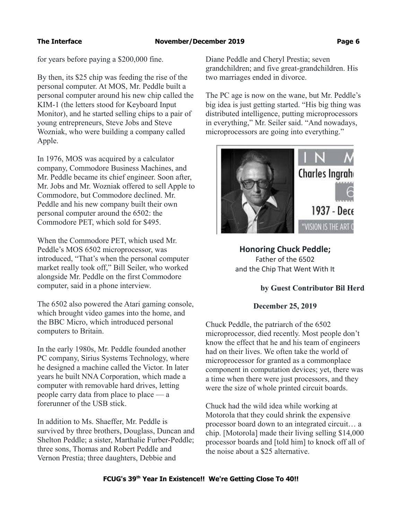### The Interface **November/December 2019 November 2019 Page 6**

for years before paying a \$200,000 fine.

By then, its \$25 chip was feeding the rise of the personal computer. At MOS, Mr. Peddle built a personal computer around his new chip called the KIM-1 (the letters stood for Keyboard Input Monitor), and he started selling chips to a pair of young entrepreneurs, Steve Jobs and Steve Wozniak, who were building a company called Apple.

In 1976, MOS was acquired by a calculator company, Commodore Business Machines, and Mr. Peddle became its chief engineer. Soon after, Mr. Jobs and Mr. Wozniak offered to sell Apple to Commodore, but Commodore declined. Mr. Peddle and his new company built their own personal computer around the 6502: the Commodore PET, which sold for \$495.

When the Commodore PET, which used Mr. Peddle's MOS 6502 microprocessor, was introduced, "That's when the personal computer market really took off," Bill Seiler, who worked alongside Mr. Peddle on the first Commodore computer, said in a phone interview.

The 6502 also powered the Atari gaming console, which brought video games into the home, and the BBC Micro, which introduced personal computers to Britain.

In the early 1980s, Mr. Peddle founded another PC company, Sirius Systems Technology, where he designed a machine called the Victor. In later years he built NNA Corporation, which made a computer with removable hard drives, letting people carry data from place to place — a forerunner of the USB stick.

In addition to Ms. Shaeffer, Mr. Peddle is survived by three brothers, Douglass, Duncan and Shelton Peddle; a sister, Marthalie Furber-Peddle; three sons, Thomas and Robert Peddle and Vernon Prestia; three daughters, Debbie and

Diane Peddle and Cheryl Prestia; seven grandchildren; and five great-grandchildren. His two marriages ended in divorce.

The PC age is now on the wane, but Mr. Peddle's big idea is just getting started. "His big thing was distributed intelligence, putting microprocessors in everything," Mr. Seiler said. "And nowadays, microprocessors are going into everything."



**Honoring Chuck Peddle;** Father of the 6502 and the Chip That Went With It

## **by Guest Contributor Bil Herd**

### **December 25, 2019**

Chuck Peddle, the patriarch of the 6502 microprocessor, died recently. Most people don't know the effect that he and his team of engineers had on their lives. We often take the world of microprocessor for granted as a commonplace component in computation devices; yet, there was a time when there were just processors, and they were the size of whole printed circuit boards.

Chuck had the wild idea while working at Motorola that they could shrink the expensive processor board down to an integrated circuit… a chip. [Motorola] made their living selling \$14,000 processor boards and [told him] to knock off all of the noise about a \$25 alternative.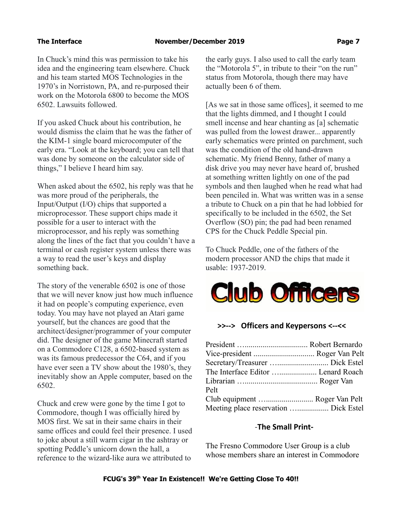In Chuck's mind this was permission to take his idea and the engineering team elsewhere. Chuck and his team started MOS Technologies in the 1970's in Norristown, PA, and re-purposed their work on the Motorola 6800 to become the MOS 6502. Lawsuits followed.

If you asked Chuck about his contribution, he would dismiss the claim that he was the father of the KIM-1 single board microcomputer of the early era. "Look at the keyboard; you can tell that was done by someone on the calculator side of things," I believe I heard him say.

When asked about the 6502, his reply was that he was more proud of the peripherals, the Input/Output (I/O) chips that supported a microprocessor. These support chips made it possible for a user to interact with the microprocessor, and his reply was something along the lines of the fact that you couldn't have a terminal or cash register system unless there was a way to read the user's keys and display something back.

The story of the venerable 6502 is one of those that we will never know just how much influence it had on people's computing experience, even today. You may have not played an Atari game yourself, but the chances are good that the architect/designer/programmer of your computer did. The designer of the game Minecraft started on a Commodore C128, a 6502-based system as was its famous predecessor the C64, and if you have ever seen a TV show about the 1980's, they inevitably show an Apple computer, based on the 6502.

Chuck and crew were gone by the time I got to Commodore, though I was officially hired by MOS first. We sat in their same chairs in their same offices and could feel their presence. I used to joke about a still warm cigar in the ashtray or spotting Peddle's unicorn down the hall, a reference to the wizard-like aura we attributed to

the early guys. I also used to call the early team the "Motorola 5", in tribute to their "on the run" status from Motorola, though there may have actually been 6 of them.

[As we sat in those same offices], it seemed to me that the lights dimmed, and I thought I could smell incense and hear chanting as [a] schematic was pulled from the lowest drawer... apparently early schematics were printed on parchment, such was the condition of the old hand-drawn schematic. My friend Benny, father of many a disk drive you may never have heard of, brushed at something written lightly on one of the pad symbols and then laughed when he read what had been penciled in. What was written was in a sense a tribute to Chuck on a pin that he had lobbied for specifically to be included in the 6502, the Set Overflow (SO) pin; the pad had been renamed CPS for the Chuck Peddle Special pin.

To Chuck Peddle, one of the fathers of the modern processor AND the chips that made it usable: 1937-2019.



## **>>--> Officers and Keypersons <--<<**

| The Interface Editor  Lenard Roach    |  |
|---------------------------------------|--|
|                                       |  |
| Pelt                                  |  |
| Club equipment  Roger Van Pelt        |  |
| Meeting place reservation  Dick Estel |  |

## -**The Small Print-**

The Fresno Commodore User Group is a club whose members share an interest in Commodore